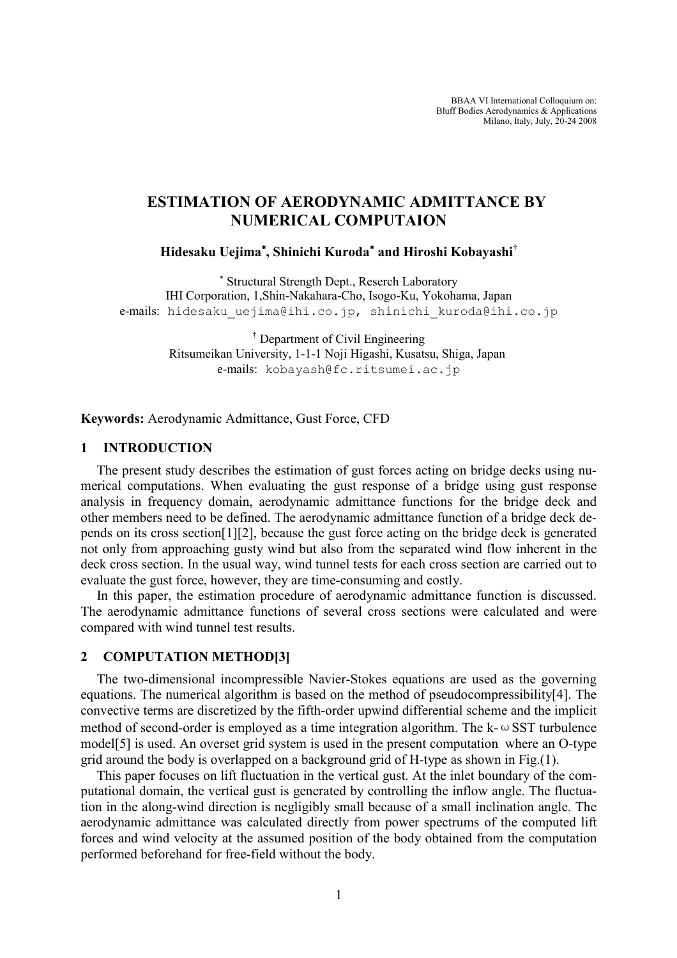BBAA VI International Colloquium on: Bluff Bodies Aerodynamics & Applications Milano, Italy, July, 20-24 2008

# ESTIMATION OF AERODYNAMIC ADMITTANCE BY NUMERICAL COMPUTAION

#### Hidesaku Uejima<sup>∗</sup>, Shinichi Kuroda<sup>∗</sup> and Hiroshi Kobayashi†

∗ Structural Strength Dept., Reserch Laboratory IHI Corporation, 1,Shin-Nakahara-Cho, Isogo-Ku, Yokohama, Japan e-mails: hidesaku uejima@ihi.co.jp, shinichi kuroda@ihi.co.jp

> † Department of Civil Engineering Ritsumeikan University, 1-1-1 Noji Higashi, Kusatsu, Shiga, Japan e-mails: kobayash@fc.ritsumei.ac.jp

Keywords: Aerodynamic Admittance, Gust Force, CFD

### 1 INTRODUCTION

The present study describes the estimation of gust forces acting on bridge decks using numerical computations. When evaluating the gust response of a bridge using gust response analysis in frequency domain, aerodynamic admittance functions for the bridge deck and other members need to be defined. The aerodynamic admittance function of a bridge deck depends on its cross section[1][2], because the gust force acting on the bridge deck is generated not only from approaching gusty wind but also from the separated wind flow inherent in the deck cross section. In the usual way, wind tunnel tests for each cross section are carried out to evaluate the gust force, however, they are time-consuming and costly.

In this paper, the estimation procedure of aerodynamic admittance function is discussed. The aerodynamic admittance functions of several cross sections were calculated and were compared with wind tunnel test results.

## 2 COMPUTATION METHOD[3]

The two-dimensional incompressible Navier-Stokes equations are used as the governing equations. The numerical algorithm is based on the method of pseudocompressibility[4]. The convective terms are discretized by the fifth-order upwind differential scheme and the implicit method of second-order is employed as a time integration algorithm. The  $k - \omega SST$  turbulence model[5] is used. An overset grid system is used in the present computation where an O-type grid around the body is overlapped on a background grid of H-type as shown in Fig.(1).

This paper focuses on lift fluctuation in the vertical gust. At the inlet boundary of the computational domain, the vertical gust is generated by controlling the inflow angle. The fluctuation in the along-wind direction is negligibly small because of a small inclination angle. The aerodynamic admittance was calculated directly from power spectrums of the computed lift forces and wind velocity at the assumed position of the body obtained from the computation performed beforehand for free-field without the body.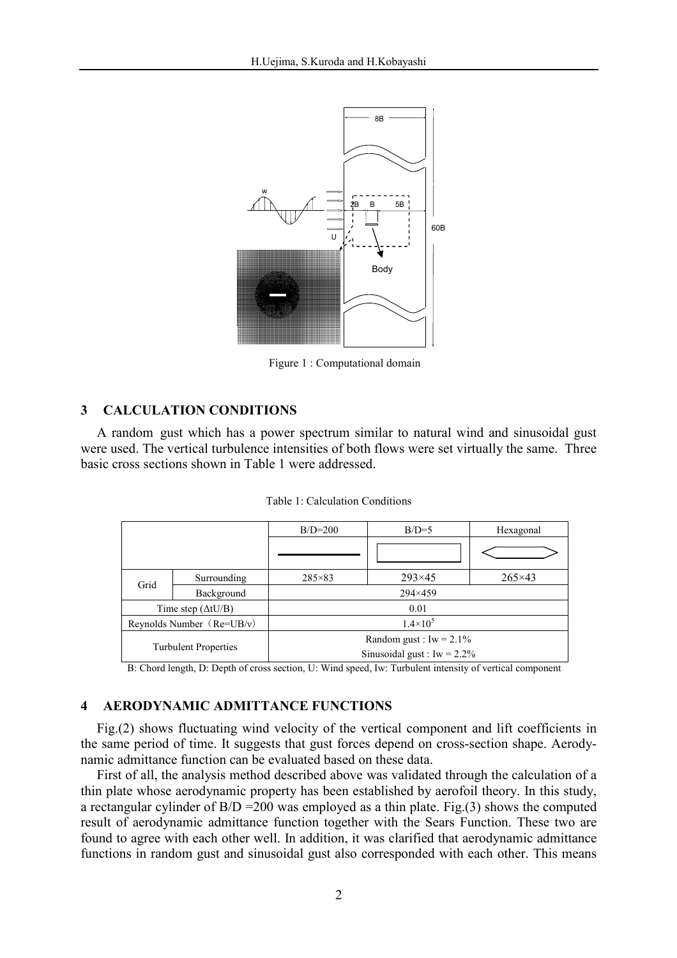

Figure 1 : Computational domain

## 3 CALCULATION CONDITIONS

A random gust which has a power spectrum similar to natural wind and sinusoidal gust were used. The vertical turbulence intensities of both flows were set virtually the same. Three basic cross sections shown in Table 1 were addressed.

|  | Table 1: Calculation Conditions |  |
|--|---------------------------------|--|
|--|---------------------------------|--|

|                             |             | $B/D=200$                                                    | $B/D=5$         | Hexagonal       |
|-----------------------------|-------------|--------------------------------------------------------------|-----------------|-----------------|
|                             |             |                                                              |                 |                 |
| Grid                        | Surrounding | $285 \times 83$                                              | $293 \times 45$ | $265 \times 43$ |
|                             | Background  | 294×459                                                      |                 |                 |
| Time step $(\Delta t U/B)$  |             | 0.01                                                         |                 |                 |
| Reynolds Number $(Re=UB/v)$ |             | $1.4 \times 10^{5}$                                          |                 |                 |
| <b>Turbulent Properties</b> |             | Random gust : $Iw = 2.1\%$<br>Sinusoidal gust : Iw = $2.2\%$ |                 |                 |

B: Chord length, D: Depth of cross section, U: Wind speed, Iw: Turbulent intensity of vertical component

# 4 AERODYNAMIC ADMITTANCE FUNCTIONS

Fig.(2) shows fluctuating wind velocity of the vertical component and lift coefficients in the same period of time. It suggests that gust forces depend on cross-section shape. Aerodynamic admittance function can be evaluated based on these data.

First of all, the analysis method described above was validated through the calculation of a thin plate whose aerodynamic property has been established by aerofoil theory. In this study, a rectangular cylinder of  $B/D = 200$  was employed as a thin plate. Fig.(3) shows the computed result of aerodynamic admittance function together with the Sears Function. These two are found to agree with each other well. In addition, it was clarified that aerodynamic admittance functions in random gust and sinusoidal gust also corresponded with each other. This means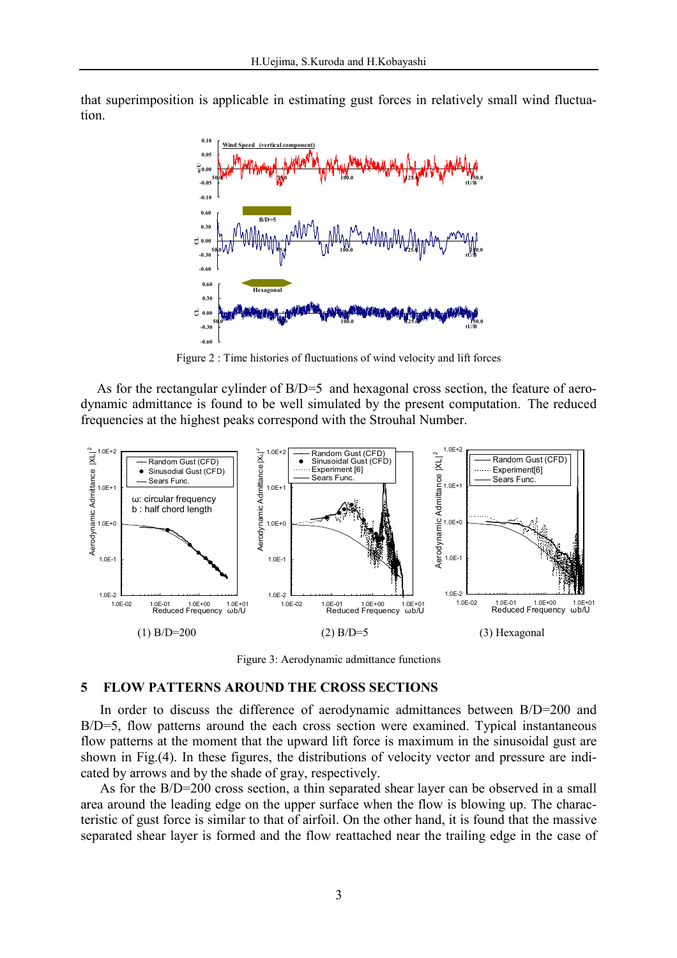that superimposition is applicable in estimating gust forces in relatively small wind fluctuation.



Figure 2 : Time histories of fluctuations of wind velocity and lift forces

As for the rectangular cylinder of B/D=5 and hexagonal cross section, the feature of aerodynamic admittance is found to be well simulated by the present computation. The reduced frequencies at the highest peaks correspond with the Strouhal Number.



Figure 3: Aerodynamic admittance functions

#### 5 FLOW PATTERNS AROUND THE CROSS SECTIONS

In order to discuss the difference of aerodynamic admittances between B/D=200 and B/D=5, flow patterns around the each cross section were examined. Typical instantaneous flow patterns at the moment that the upward lift force is maximum in the sinusoidal gust are shown in Fig.(4). In these figures, the distributions of velocity vector and pressure are indicated by arrows and by the shade of gray, respectively.

As for the B/D=200 cross section, a thin separated shear layer can be observed in a small area around the leading edge on the upper surface when the flow is blowing up. The characteristic of gust force is similar to that of airfoil. On the other hand, it is found that the massive separated shear layer is formed and the flow reattached near the trailing edge in the case of